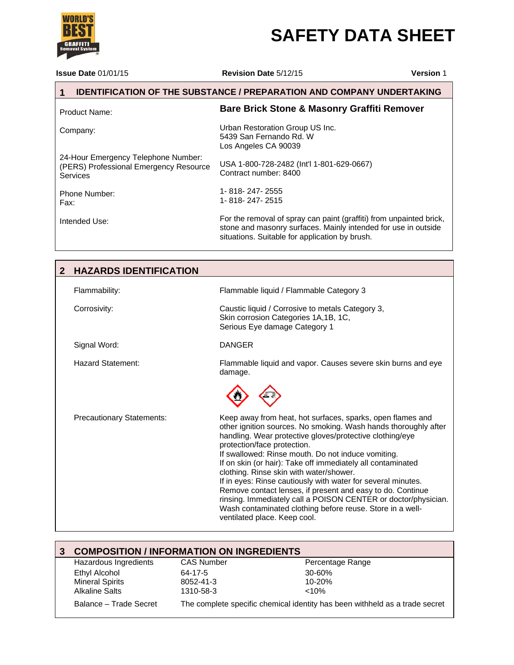# **SAFETY DATA SHEET**

**Issue Date** 01/01/15 **Revision Date** 5/12/15 **Version** 1

### **1 IDENTIFICATION OF THE SUBSTANCE / PREPARATION AND COMPANY UNDERTAKING**

| <b>Product Name:</b>                                                                      | <b>Bare Brick Stone &amp; Masonry Graffiti Remover</b>                                                                                                                                  |
|-------------------------------------------------------------------------------------------|-----------------------------------------------------------------------------------------------------------------------------------------------------------------------------------------|
| Company:                                                                                  | Urban Restoration Group US Inc.<br>5439 San Fernando Rd. W<br>Los Angeles CA 90039                                                                                                      |
| 24-Hour Emergency Telephone Number:<br>(PERS) Professional Emergency Resource<br>Services | USA 1-800-728-2482 (Int'l 1-801-629-0667)<br>Contract number: 8400                                                                                                                      |
| Phone Number:<br>Fax:                                                                     | 1-818-247-2555<br>1-818-247-2515                                                                                                                                                        |
| Intended Use:                                                                             | For the removal of spray can paint (graffiti) from unpainted brick,<br>stone and masonry surfaces. Mainly intended for use in outside<br>situations. Suitable for application by brush. |

| $\mathbf{2}$ | <b>HAZARDS IDENTIFICATION</b>    |                                                                                                                                                                                                                                                                                                                                                                                                                                                                                                                                                                                                                                                                                       |
|--------------|----------------------------------|---------------------------------------------------------------------------------------------------------------------------------------------------------------------------------------------------------------------------------------------------------------------------------------------------------------------------------------------------------------------------------------------------------------------------------------------------------------------------------------------------------------------------------------------------------------------------------------------------------------------------------------------------------------------------------------|
|              | Flammability:                    | Flammable liquid / Flammable Category 3                                                                                                                                                                                                                                                                                                                                                                                                                                                                                                                                                                                                                                               |
|              | Corrosivity:                     | Caustic liquid / Corrosive to metals Category 3,<br>Skin corrosion Categories 1A, 1B, 1C,<br>Serious Eye damage Category 1                                                                                                                                                                                                                                                                                                                                                                                                                                                                                                                                                            |
|              | Signal Word:                     | DANGER                                                                                                                                                                                                                                                                                                                                                                                                                                                                                                                                                                                                                                                                                |
|              | Hazard Statement:                | Flammable liquid and vapor. Causes severe skin burns and eye<br>damage.                                                                                                                                                                                                                                                                                                                                                                                                                                                                                                                                                                                                               |
|              |                                  |                                                                                                                                                                                                                                                                                                                                                                                                                                                                                                                                                                                                                                                                                       |
|              | <b>Precautionary Statements:</b> | Keep away from heat, hot surfaces, sparks, open flames and<br>other ignition sources. No smoking. Wash hands thoroughly after<br>handling. Wear protective gloves/protective clothing/eye<br>protection/face protection.<br>If swallowed: Rinse mouth. Do not induce vomiting.<br>If on skin (or hair): Take off immediately all contaminated<br>clothing. Rinse skin with water/shower.<br>If in eyes: Rinse cautiously with water for several minutes.<br>Remove contact lenses, if present and easy to do. Continue<br>rinsing. Immediately call a POISON CENTER or doctor/physician.<br>Wash contaminated clothing before reuse. Store in a well-<br>ventilated place. Keep cool. |

| <b>COMPOSITION / INFORMATION ON INGREDIENTS</b> |                   |                                                                             |
|-------------------------------------------------|-------------------|-----------------------------------------------------------------------------|
| Hazardous Ingredients                           | <b>CAS Number</b> | Percentage Range                                                            |
| Ethyl Alcohol                                   | 64-17-5           | $30 - 60%$                                                                  |
| <b>Mineral Spirits</b>                          | 8052-41-3         | $10 - 20%$                                                                  |
| <b>Alkaline Salts</b>                           | 1310-58-3         | $<10\%$                                                                     |
| Balance - Trade Secret                          |                   | The complete specific chemical identity has been withheld as a trade secret |

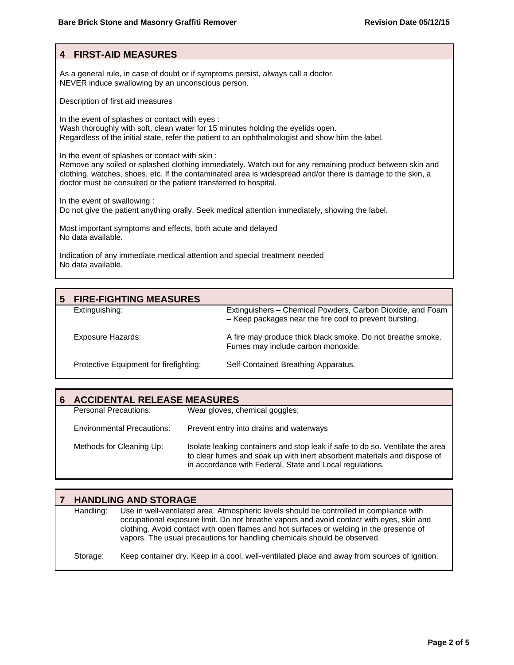#### **4 FIRST-AID MEASURES**

As a general rule, in case of doubt or if symptoms persist, always call a doctor. NEVER induce swallowing by an unconscious person.

Description of first aid measures

In the event of splashes or contact with eyes : Wash thoroughly with soft, clean water for 15 minutes holding the eyelids open. Regardless of the initial state, refer the patient to an ophthalmologist and show him the label.

In the event of splashes or contact with skin :

Remove any soiled or splashed clothing immediately. Watch out for any remaining product between skin and clothing, watches, shoes, etc. If the contaminated area is widespread and/or there is damage to the skin, a doctor must be consulted or the patient transferred to hospital.

In the event of swallowing :

Do not give the patient anything orally. Seek medical attention immediately, showing the label.

Most important symptoms and effects, both acute and delayed No data available.

Indication of any immediate medical attention and special treatment needed No data available.

| 5 | <b>FIRE-FIGHTING MEASURES</b>          |                                                                                                                       |
|---|----------------------------------------|-----------------------------------------------------------------------------------------------------------------------|
|   | Extinguishing:                         | Extinguishers - Chemical Powders, Carbon Dioxide, and Foam<br>- Keep packages near the fire cool to prevent bursting. |
|   | <b>Exposure Hazards:</b>               | A fire may produce thick black smoke. Do not breathe smoke.<br>Fumes may include carbon monoxide.                     |
|   | Protective Equipment for firefighting: | Self-Contained Breathing Apparatus.                                                                                   |

| <b>ACCIDENTAL RELEASE MEASURES</b> |                                                                                                                                                                                                                       |  |  |  |
|------------------------------------|-----------------------------------------------------------------------------------------------------------------------------------------------------------------------------------------------------------------------|--|--|--|
| Personal Precautions:              | Wear gloves, chemical goggles;                                                                                                                                                                                        |  |  |  |
| <b>Environmental Precautions:</b>  | Prevent entry into drains and waterways                                                                                                                                                                               |  |  |  |
| Methods for Cleaning Up:           | Isolate leaking containers and stop leak if safe to do so. Ventilate the area<br>to clear fumes and soak up with inert absorbent materials and dispose of<br>in accordance with Federal, State and Local regulations. |  |  |  |

|           | <b>HANDLING AND STORAGE</b>                                                                                                                                                                                                                                                                                                                                |
|-----------|------------------------------------------------------------------------------------------------------------------------------------------------------------------------------------------------------------------------------------------------------------------------------------------------------------------------------------------------------------|
| Handling: | Use in well-ventilated area. Atmospheric levels should be controlled in compliance with<br>occupational exposure limit. Do not breathe vapors and avoid contact with eyes, skin and<br>clothing. Avoid contact with open flames and hot surfaces or welding in the presence of<br>vapors. The usual precautions for handling chemicals should be observed. |
| Storage:  | Keep container dry. Keep in a cool, well-ventilated place and away from sources of ignition.                                                                                                                                                                                                                                                               |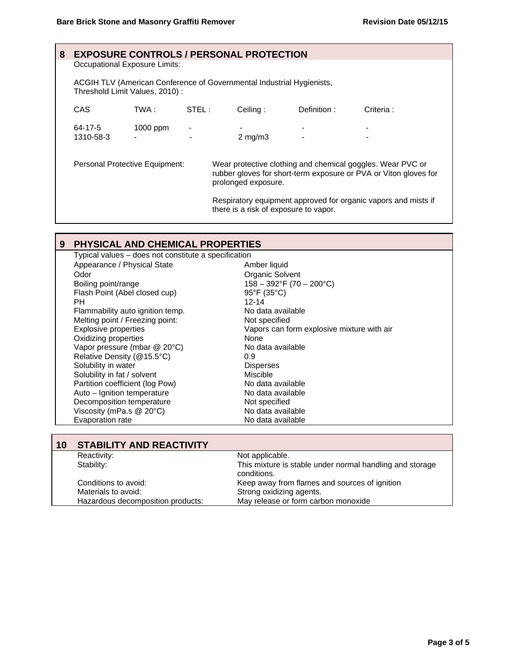| 8 |                                                                                                         |            |       | <b>EXPOSURE CONTROLS / PERSONAL PROTECTION</b> |             |                                                                                                                                |
|---|---------------------------------------------------------------------------------------------------------|------------|-------|------------------------------------------------|-------------|--------------------------------------------------------------------------------------------------------------------------------|
|   | Occupational Exposure Limits:                                                                           |            |       |                                                |             |                                                                                                                                |
|   | ACGIH TLV (American Conference of Governmental Industrial Hygienists,<br>Threshold Limit Values, 2010): |            |       |                                                |             |                                                                                                                                |
|   | CAS.                                                                                                    | TWA :      | STEL: | Ceiling:                                       | Definition: | Criteria:                                                                                                                      |
|   | 64-17-5<br>1310-58-3                                                                                    | $1000$ ppm |       |                                                |             |                                                                                                                                |
|   |                                                                                                         |            |       | $2$ mg/m $3$                                   |             |                                                                                                                                |
|   | Personal Protective Equipment:                                                                          |            |       | prolonged exposure.                            |             | Wear protective clothing and chemical goggles. Wear PVC or<br>rubber gloves for short-term exposure or PVA or Viton gloves for |
|   |                                                                                                         |            |       | there is a risk of exposure to vapor.          |             | Respiratory equipment approved for organic vapors and mists if                                                                 |

## **9 PHYSICAL AND CHEMICAL PROPERTIES**

| Typical values - does not constitute a specification |                                            |  |
|------------------------------------------------------|--------------------------------------------|--|
| Appearance / Physical State                          | Amber liquid                               |  |
| Odor                                                 | Organic Solvent                            |  |
| Boiling point/range                                  | $158 - 392$ °F (70 - 200°C)                |  |
| Flash Point (Abel closed cup)                        | $95^{\circ}F(35^{\circ}C)$                 |  |
| PH.                                                  | $12 - 14$                                  |  |
| Flammability auto ignition temp.                     | No data available                          |  |
| Melting point / Freezing point:                      | Not specified                              |  |
| <b>Explosive properties</b>                          | Vapors can form explosive mixture with air |  |
| Oxidizing properties                                 | None                                       |  |
| Vapor pressure (mbar @ 20°C)                         | No data available                          |  |
| Relative Density (@15.5°C)                           | 0.9                                        |  |
| Solubility in water                                  | <b>Disperses</b>                           |  |
| Solubility in fat / solvent                          | Miscible                                   |  |
| Partition coefficient (log Pow)                      | No data available                          |  |
| Auto - Ignition temperature                          | No data available                          |  |
| Decomposition temperature                            | Not specified                              |  |
| Viscosity (mPa.s @ 20°C)                             | No data available                          |  |
| Evaporation rate                                     | No data available                          |  |

| 10 | <b>STABILITY AND REACTIVITY</b>                                       |                                                                         |  |
|----|-----------------------------------------------------------------------|-------------------------------------------------------------------------|--|
|    | Reactivity:                                                           | Not applicable.                                                         |  |
|    | Stability:                                                            | This mixture is stable under normal handling and storage<br>conditions. |  |
|    | Keep away from flames and sources of ignition<br>Conditions to avoid: |                                                                         |  |
|    | Strong oxidizing agents.<br>Materials to avoid:                       |                                                                         |  |
|    | Hazardous decomposition products:                                     | May release or form carbon monoxide                                     |  |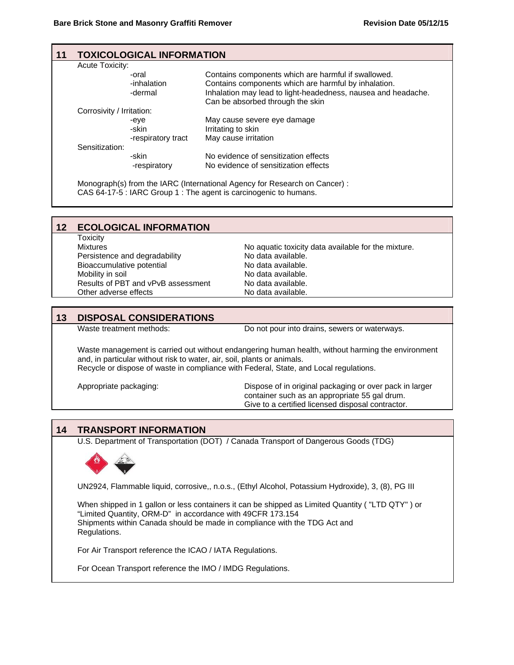| 11 | <b>Acute Toxicity:</b>                                                                                                                          | <b>TOXICOLOGICAL INFORMATION</b>                                                                                 |                                                                                                                                                                                                                  |  |  |
|----|-------------------------------------------------------------------------------------------------------------------------------------------------|------------------------------------------------------------------------------------------------------------------|------------------------------------------------------------------------------------------------------------------------------------------------------------------------------------------------------------------|--|--|
|    |                                                                                                                                                 | -oral<br>-inhalation<br>-dermal                                                                                  | Contains components which are harmful if swallowed.<br>Contains components which are harmful by inhalation.<br>Inhalation may lead to light-headedness, nausea and headache.<br>Can be absorbed through the skin |  |  |
|    | Corrosivity / Irritation:                                                                                                                       |                                                                                                                  |                                                                                                                                                                                                                  |  |  |
|    |                                                                                                                                                 | May cause severe eye damage<br>-eye<br>Irritating to skin<br>-skin<br>May cause irritation<br>-respiratory tract |                                                                                                                                                                                                                  |  |  |
|    | Sensitization:                                                                                                                                  |                                                                                                                  |                                                                                                                                                                                                                  |  |  |
|    |                                                                                                                                                 | -skin<br>-respiratory                                                                                            | No evidence of sensitization effects<br>No evidence of sensitization effects                                                                                                                                     |  |  |
|    | Monograph(s) from the IARC (International Agency for Research on Cancer) :<br>CAS 64-17-5 : IARC Group 1 : The agent is carcinogenic to humans. |                                                                                                                  |                                                                                                                                                                                                                  |  |  |

| 12 | <b>ECOLOGICAL INFORMATION</b>      |                                                     |
|----|------------------------------------|-----------------------------------------------------|
|    | <b>Toxicity</b>                    |                                                     |
|    | <b>Mixtures</b>                    | No aquatic toxicity data available for the mixture. |
|    | Persistence and degradability      | No data available.                                  |
|    | Bioaccumulative potential          | No data available.                                  |
|    | Mobility in soil                   | No data available.                                  |
|    | Results of PBT and vPvB assessment | No data available.                                  |
|    | Other adverse effects              | No data available.                                  |

#### **13 DISPOSAL CONSIDERATIONS**

Waste treatment methods: Do not pour into drains, sewers or waterways.

Waste management is carried out without endangering human health, without harming the environment and, in particular without risk to water, air, soil, plants or animals. Recycle or dispose of waste in compliance with Federal, State, and Local regulations.

Appropriate packaging: Dispose of in original packaging or over pack in larger container such as an appropriate 55 gal drum. Give to a certified licensed disposal contractor.

#### **14 TRANSPORT INFORMATION**

U.S. Department of Transportation (DOT) / Canada Transport of Dangerous Goods (TDG)



UN2924, Flammable liquid, corrosive,, n.o.s., (Ethyl Alcohol, Potassium Hydroxide), 3, (8), PG III

When shipped in 1 gallon or less containers it can be shipped as Limited Quantity ( "LTD QTY" ) or "Limited Quantity, ORM-D" in accordance with 49CFR 173.154 Shipments within Canada should be made in compliance with the TDG Act and Regulations.

For Air Transport reference the ICAO / IATA Regulations.

For Ocean Transport reference the IMO / IMDG Regulations.